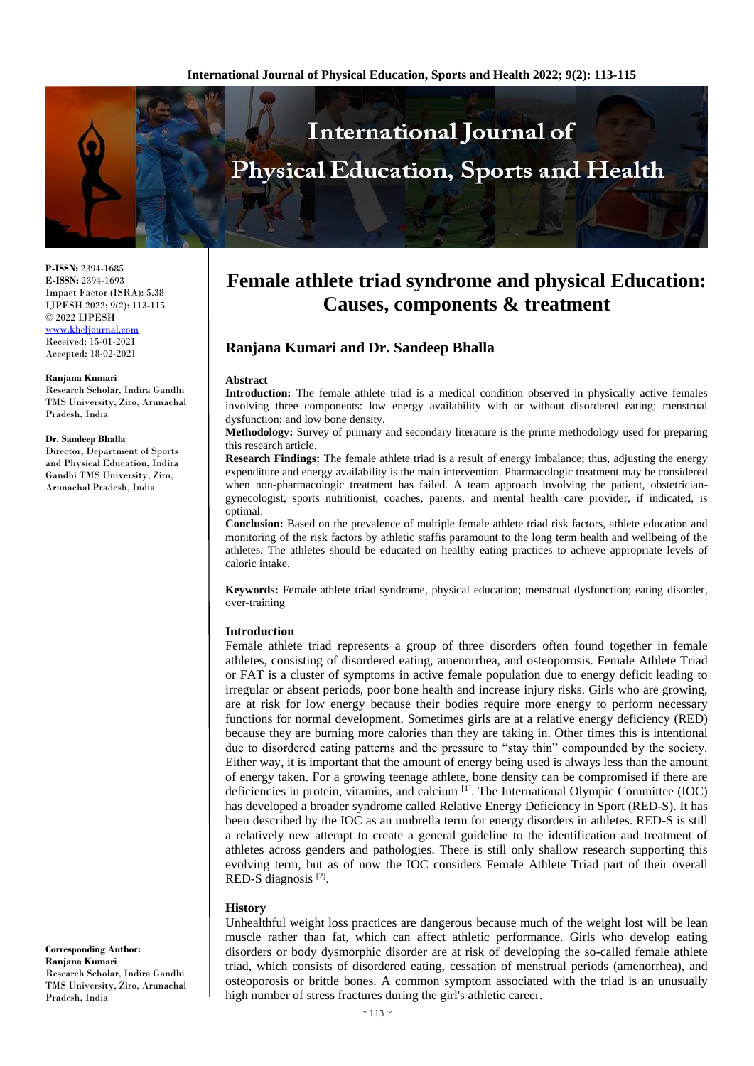

**P-ISSN:** 2394-1685 **E-ISSN:** 2394-1693 Impact Factor (ISRA): 5.38 IJPESH 2022; 9(2): 113-115 © 2022 IJPESH

[www.kheljournal.com](http://www.kheljournal.com/) Received: 15-01-2021 Accepted: 18-02-2021

#### **Ranjana Kumari**

Research Scholar, Indira Gandhi TMS University, Ziro, Arunachal Pradesh, India

#### **Dr. Sandeep Bhalla**

Director, Department of Sports and Physical Education, Indira Gandhi TMS University, Ziro, Arunachal Pradesh, India

# **Female athlete triad syndrome and physical Education: Causes, components & treatment**

## **Ranjana Kumari and Dr. Sandeep Bhalla**

#### **Abstract**

**Introduction:** The female athlete triad is a medical condition observed in physically active females involving three components: low energy availability with or without disordered eating; menstrual dysfunction; and low bone density.

**Methodology:** Survey of primary and secondary literature is the prime methodology used for preparing this research article.

**Research Findings:** The female athlete triad is a result of energy imbalance; thus, adjusting the energy expenditure and energy availability is the main intervention. Pharmacologic treatment may be considered when non-pharmacologic treatment has failed. A team approach involving the patient, obstetriciangynecologist, sports nutritionist, coaches, parents, and mental health care provider, if indicated, is optimal.

**Conclusion:** Based on the prevalence of multiple female athlete triad risk factors, athlete education and monitoring of the risk factors by athletic staffis paramount to the long term health and wellbeing of the athletes. The athletes should be educated on healthy eating practices to achieve appropriate levels of caloric intake.

**Keywords:** Female athlete triad syndrome, physical education; menstrual dysfunction; eating disorder, over-training

#### **Introduction**

Female athlete triad represents a group of three disorders often found together in female athletes, consisting of disordered eating, amenorrhea, and osteoporosis. Female Athlete Triad or FAT is a cluster of symptoms in active female population due to energy deficit leading to irregular or absent periods, poor bone health and increase injury risks. Girls who are growing, are at risk for low energy because their bodies require more energy to perform necessary functions for normal development. Sometimes girls are at a relative energy deficiency (RED) because they are burning more calories than they are taking in. Other times this is intentional due to disordered eating patterns and the pressure to "stay thin" compounded by the society. Either way, it is important that the amount of energy being used is always less than the amount of energy taken. For a growing teenage athlete, bone density can be compromised if there are deficiencies in protein, vitamins, and calcium  $\left[1\right]$ . The International Olympic Committee (IOC) has developed a broader syndrome called Relative Energy Deficiency in Sport (RED-S). It has been described by the IOC as an umbrella term for energy disorders in athletes. RED-S is still a relatively new attempt to create a general guideline to the identification and treatment of athletes across genders and pathologies. There is still only shallow research supporting this evolving term, but as of now the IOC considers Female Athlete Triad part of their overall RED-S diagnosis<sup>[2]</sup>.

#### **History**

Unhealthful weight loss practices are dangerous because much of the weight lost will be lean muscle rather than fat, which can affect athletic performance. Girls who develop eating disorders or body dysmorphic disorder are at risk of developing the so-called female athlete triad, which consists of disordered eating, cessation of menstrual periods (amenorrhea), and osteoporosis or brittle bones. A common symptom associated with the triad is an unusually high number of stress fractures during the girl's athletic career.

**Corresponding Author: Ranjana Kumari** Research Scholar, Indira Gandhi TMS University, Ziro, Arunachal Pradesh, India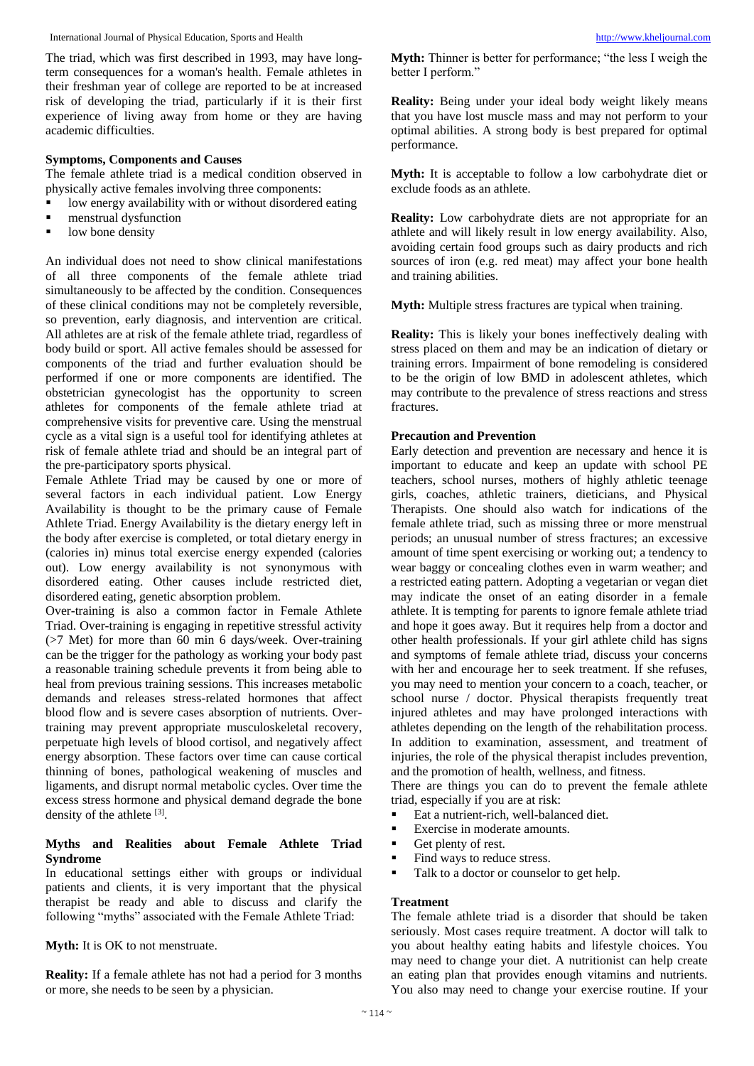International Journal of Physical Education, Sports and Health [http://www.kheljournal.com](http://www.kheljournal.com/)

The triad, which was first described in 1993, may have longterm consequences for a woman's health. Female athletes in their freshman year of college are reported to be at increased risk of developing the triad, particularly if it is their first experience of living away from home or they are having academic difficulties.

## **Symptoms, Components and Causes**

The female athlete triad is a medical condition observed in physically active females involving three components:

- low energy availability with or without disordered eating
- menstrual dysfunction
- low bone density

An individual does not need to show clinical manifestations of all three components of the female athlete triad simultaneously to be affected by the condition. Consequences of these clinical conditions may not be completely reversible, so prevention, early diagnosis, and intervention are critical. All athletes are at risk of the female athlete triad, regardless of body build or sport. All active females should be assessed for components of the triad and further evaluation should be performed if one or more components are identified. The obstetrician gynecologist has the opportunity to screen athletes for components of the female athlete triad at comprehensive visits for preventive care. Using the menstrual cycle as a vital sign is a useful tool for identifying athletes at risk of female athlete triad and should be an integral part of the pre-participatory sports physical.

Female Athlete Triad may be caused by one or more of several factors in each individual patient. Low Energy Availability is thought to be the primary cause of Female Athlete Triad. Energy Availability is the dietary energy left in the body after exercise is completed, or total dietary energy in (calories in) minus total exercise energy expended (calories out). Low energy availability is not synonymous with disordered eating. Other causes include restricted diet, disordered eating, genetic absorption problem.

Over-training is also a common factor in Female Athlete Triad. Over-training is engaging in repetitive stressful activity (>7 Met) for more than 60 min 6 days/week. Over-training can be the trigger for the pathology as working your body past a reasonable training schedule prevents it from being able to heal from previous training sessions. This increases metabolic demands and releases stress-related hormones that affect blood flow and is severe cases absorption of nutrients. Overtraining may prevent appropriate musculoskeletal recovery, perpetuate high levels of blood cortisol, and negatively affect energy absorption. These factors over time can cause cortical thinning of bones, pathological weakening of muscles and ligaments, and disrupt normal metabolic cycles. Over time the excess stress hormone and physical demand degrade the bone density of the athlete  $[3]$ .

#### **Myths and Realities about Female Athlete Triad Syndrome**

In educational settings either with groups or individual patients and clients, it is very important that the physical therapist be ready and able to discuss and clarify the following "myths" associated with the Female Athlete Triad:

**Myth:** It is OK to not menstruate.

**Reality:** If a female athlete has not had a period for 3 months or more, she needs to be seen by a physician.

**Myth:** Thinner is better for performance; "the less I weigh the better I perform."

**Reality:** Being under your ideal body weight likely means that you have lost muscle mass and may not perform to your optimal abilities. A strong body is best prepared for optimal performance.

**Myth:** It is acceptable to follow a low carbohydrate diet or exclude foods as an athlete.

**Reality:** Low carbohydrate diets are not appropriate for an athlete and will likely result in low energy availability. Also, avoiding certain food groups such as dairy products and rich sources of iron (e.g. red meat) may affect your bone health and training abilities.

**Myth:** Multiple stress fractures are typical when training.

**Reality:** This is likely your bones ineffectively dealing with stress placed on them and may be an indication of dietary or training errors. Impairment of bone remodeling is considered to be the origin of low BMD in adolescent athletes, which may contribute to the prevalence of stress reactions and stress fractures.

#### **Precaution and Prevention**

Early detection and prevention are necessary and hence it is important to educate and keep an update with school PE teachers, school nurses, mothers of highly athletic teenage girls, coaches, athletic trainers, dieticians, and Physical Therapists. One should also watch for indications of the female athlete triad, such as missing three or more menstrual periods; an unusual number of stress fractures; an excessive amount of time spent exercising or working out; a tendency to wear baggy or concealing clothes even in warm weather; and a restricted eating pattern. Adopting a vegetarian or vegan diet may indicate the onset of an eating disorder in a female athlete. It is tempting for parents to ignore female athlete triad and hope it goes away. But it requires help from a doctor and other health professionals. If your girl athlete child has signs and symptoms of female athlete triad, discuss your concerns with her and encourage her to seek treatment. If she refuses, you may need to mention your concern to a coach, teacher, or school nurse / doctor. Physical therapists frequently treat injured athletes and may have prolonged interactions with athletes depending on the length of the rehabilitation process. In addition to examination, assessment, and treatment of injuries, the role of the physical therapist includes prevention, and the promotion of health, wellness, and fitness.

There are things you can do to prevent the female athlete triad, especially if you are at risk:

- Eat a nutrient-rich, well-balanced diet.
- Exercise in moderate amounts.
- Get plenty of rest.
- Find ways to reduce stress.
- Talk to a doctor or counselor to get help.

#### **Treatment**

The female athlete triad is a disorder that should be taken seriously. Most cases require treatment. A doctor will talk to you about healthy eating habits and lifestyle choices. You may need to change your diet. A nutritionist can help create an eating plan that provides enough vitamins and nutrients. You also may need to change your exercise routine. If your